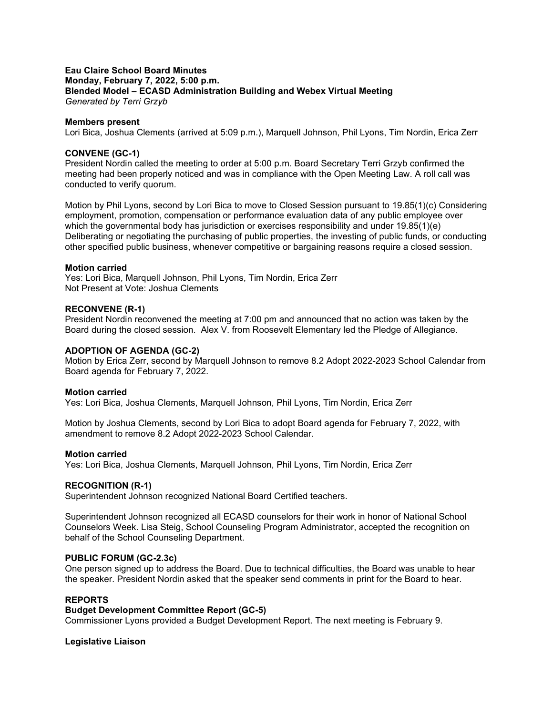### **Eau Claire School Board Minutes Monday, February 7, 2022, 5:00 p.m. Blended Model – ECASD Administration Building and Webex Virtual Meeting** *Generated by Terri Grzyb*

### **Members present**

Lori Bica, Joshua Clements (arrived at 5:09 p.m.), Marquell Johnson, Phil Lyons, Tim Nordin, Erica Zerr

### **CONVENE (GC-1)**

President Nordin called the meeting to order at 5:00 p.m. Board Secretary Terri Grzyb confirmed the meeting had been properly noticed and was in compliance with the Open Meeting Law. A roll call was conducted to verify quorum.

Motion by Phil Lyons, second by Lori Bica to move to Closed Session pursuant to 19.85(1)(c) Considering employment, promotion, compensation or performance evaluation data of any public employee over which the governmental body has jurisdiction or exercises responsibility and under 19.85(1)(e) Deliberating or negotiating the purchasing of public properties, the investing of public funds, or conducting other specified public business, whenever competitive or bargaining reasons require a closed session.

#### **Motion carried**

Yes: Lori Bica, Marquell Johnson, Phil Lyons, Tim Nordin, Erica Zerr Not Present at Vote: Joshua Clements

### **RECONVENE (R-1)**

President Nordin reconvened the meeting at 7:00 pm and announced that no action was taken by the Board during the closed session. Alex V. from Roosevelt Elementary led the Pledge of Allegiance.

### **ADOPTION OF AGENDA (GC-2)**

Motion by Erica Zerr, second by Marquell Johnson to remove 8.2 Adopt 2022-2023 School Calendar from Board agenda for February 7, 2022.

#### **Motion carried**

Yes: Lori Bica, Joshua Clements, Marquell Johnson, Phil Lyons, Tim Nordin, Erica Zerr

Motion by Joshua Clements, second by Lori Bica to adopt Board agenda for February 7, 2022, with amendment to remove 8.2 Adopt 2022-2023 School Calendar.

#### **Motion carried**

Yes: Lori Bica, Joshua Clements, Marquell Johnson, Phil Lyons, Tim Nordin, Erica Zerr

#### **RECOGNITION (R-1)**

Superintendent Johnson recognized National Board Certified teachers.

Superintendent Johnson recognized all ECASD counselors for their work in honor of National School Counselors Week. Lisa Steig, School Counseling Program Administrator, accepted the recognition on behalf of the School Counseling Department.

## **PUBLIC FORUM (GC-2.3c)**

One person signed up to address the Board. Due to technical difficulties, the Board was unable to hear the speaker. President Nordin asked that the speaker send comments in print for the Board to hear.

# **REPORTS**

## **Budget Development Committee Report (GC-5)**

Commissioner Lyons provided a Budget Development Report. The next meeting is February 9.

#### **Legislative Liaison**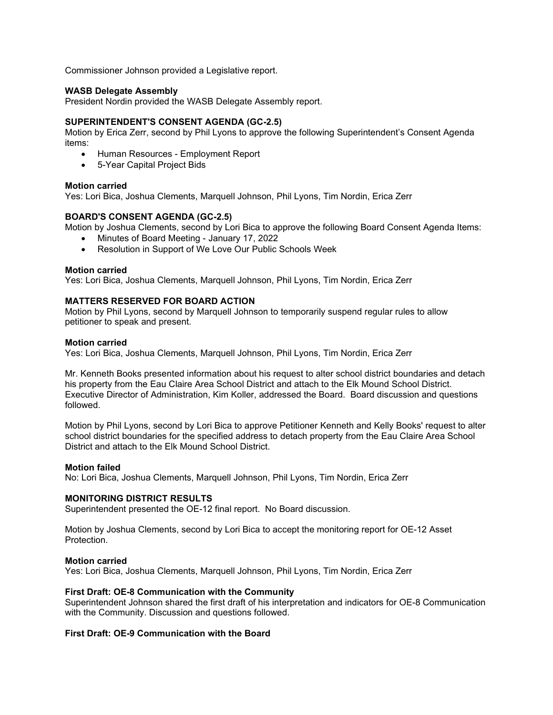Commissioner Johnson provided a Legislative report.

## **WASB Delegate Assembly**

President Nordin provided the WASB Delegate Assembly report.

## **SUPERINTENDENT'S CONSENT AGENDA (GC-2.5)**

Motion by Erica Zerr, second by Phil Lyons to approve the following Superintendent's Consent Agenda items:

- Human Resources Employment Report
- 5-Year Capital Project Bids

## **Motion carried**

Yes: Lori Bica, Joshua Clements, Marquell Johnson, Phil Lyons, Tim Nordin, Erica Zerr

## **BOARD'S CONSENT AGENDA (GC-2.5)**

Motion by Joshua Clements, second by Lori Bica to approve the following Board Consent Agenda Items:

- Minutes of Board Meeting January 17, 2022
- Resolution in Support of We Love Our Public Schools Week

## **Motion carried**

Yes: Lori Bica, Joshua Clements, Marquell Johnson, Phil Lyons, Tim Nordin, Erica Zerr

## **MATTERS RESERVED FOR BOARD ACTION**

Motion by Phil Lyons, second by Marquell Johnson to temporarily suspend regular rules to allow petitioner to speak and present.

### **Motion carried**

Yes: Lori Bica, Joshua Clements, Marquell Johnson, Phil Lyons, Tim Nordin, Erica Zerr

Mr. Kenneth Books presented information about his request to alter school district boundaries and detach his property from the Eau Claire Area School District and attach to the Elk Mound School District. Executive Director of Administration, Kim Koller, addressed the Board. Board discussion and questions followed.

Motion by Phil Lyons, second by Lori Bica to approve Petitioner Kenneth and Kelly Books' request to alter school district boundaries for the specified address to detach property from the Eau Claire Area School District and attach to the Elk Mound School District.

## **Motion failed**

No: Lori Bica, Joshua Clements, Marquell Johnson, Phil Lyons, Tim Nordin, Erica Zerr

## **MONITORING DISTRICT RESULTS**

Superintendent presented the OE-12 final report. No Board discussion.

Motion by Joshua Clements, second by Lori Bica to accept the monitoring report for OE-12 Asset Protection.

## **Motion carried**

Yes: Lori Bica, Joshua Clements, Marquell Johnson, Phil Lyons, Tim Nordin, Erica Zerr

## **First Draft: OE-8 Communication with the Community**

Superintendent Johnson shared the first draft of his interpretation and indicators for OE-8 Communication with the Community. Discussion and questions followed.

## **First Draft: OE-9 Communication with the Board**